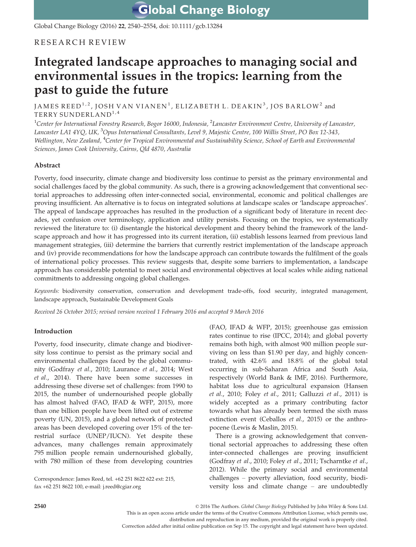Global Change Biology (2016) 22, 2540–2554, doi: 10.1111/gcb.13284

## RESEARCH REVIEW

# Integrated landscape approaches to managing social and environmental issues in the tropics: learning from the past to guide the future

JAMES REED<sup>1,2</sup>, JOSH VAN VIANEN<sup>1</sup>, ELIZABETH L. DEAKIN<sup>3</sup>, JOS BARLOW<sup>2</sup> and TERRY SUNDERLAND<sup>1,4</sup>

 $^1$ Center for International Forestry Research, Bogor 16000, Indonesia,  $^2$ Lancaster Environment Centre, University of Lancaster, Lancaster LA1 4YQ, UK, <sup>3</sup>Opus International Consultants, Level 9, Majestic Centre, 100 Willis Street, PO Box 12-343, Wellington, New Zealand, <sup>4</sup>Center for Tropical Environmental and Sustainability Science, School of Earth and Environmental Sciences, James Cook University, Cairns, Qld 4870, Australia

## Abstract

Poverty, food insecurity, climate change and biodiversity loss continue to persist as the primary environmental and social challenges faced by the global community. As such, there is a growing acknowledgement that conventional sectorial approaches to addressing often inter-connected social, environmental, economic and political challenges are proving insufficient. An alternative is to focus on integrated solutions at landscape scales or 'landscape approaches'. The appeal of landscape approaches has resulted in the production of a significant body of literature in recent decades, yet confusion over terminology, application and utility persists. Focusing on the tropics, we systematically reviewed the literature to: (i) disentangle the historical development and theory behind the framework of the landscape approach and how it has progressed into its current iteration, (ii) establish lessons learned from previous land management strategies, (iii) determine the barriers that currently restrict implementation of the landscape approach and (iv) provide recommendations for how the landscape approach can contribute towards the fulfilment of the goals of international policy processes. This review suggests that, despite some barriers to implementation, a landscape approach has considerable potential to meet social and environmental objectives at local scales while aiding national commitments to addressing ongoing global challenges.

Keywords: biodiversity conservation, conservation and development trade-offs, food security, integrated management, landscape approach, Sustainable Development Goals

Received 26 October 2015; revised version received 1 February 2016 and accepted 9 March 2016

## Introduction

Poverty, food insecurity, climate change and biodiversity loss continue to persist as the primary social and environmental challenges faced by the global community (Godfray et al., 2010; Laurance et al., 2014; West et al., 2014). There have been some successes in addressing these diverse set of challenges: from 1990 to 2015, the number of undernourished people globally has almost halved (FAO, IFAD & WFP, 2015), more than one billion people have been lifted out of extreme poverty (UN, 2015), and a global network of protected areas has been developed covering over 15% of the terrestrial surface (UNEP/IUCN). Yet despite these advances, many challenges remain approximately 795 million people remain undernourished globally, with 780 million of these from developing countries

Correspondence: James Reed, tel. +62 251 8622 622 ext: 215, fax +62 251 8622 100, e-mail: j.reed@cgiar.org

(FAO, IFAD & WFP, 2015); greenhouse gas emission rates continue to rise (IPCC, 2014); and global poverty remains both high, with almost 900 million people surviving on less than \$1.90 per day, and highly concentrated, with 42.6% and 18.8% of the global total occurring in sub-Saharan Africa and South Asia, respectively (World Bank & IMF, 2016). Furthermore, habitat loss due to agricultural expansion (Hansen et al., 2010; Foley et al., 2011; Galluzzi et al., 2011) is widely accepted as a primary contributing factor towards what has already been termed the sixth mass extinction event (Ceballos et al., 2015) or the anthropocene (Lewis & Maslin, 2015).

There is a growing acknowledgement that conventional sectorial approaches to addressing these often inter-connected challenges are proving insufficient (Godfray et al., 2010; Foley et al., 2011; Tscharntke et al., 2012). While the primary social and environmental challenges – poverty alleviation, food security, biodiversity loss and climate change – are undoubtedly

Correction added after initial online publication on Sep 15. The copyright and legal statement have been updated.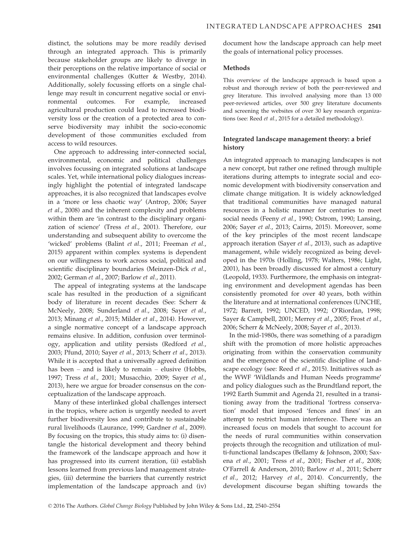distinct, the solutions may be more readily devised through an integrated approach. This is primarily because stakeholder groups are likely to diverge in their perceptions on the relative importance of social or environmental challenges (Kutter & Westby, 2014). Additionally, solely focussing efforts on a single challenge may result in concurrent negative social or environmental outcomes. For example, increased agricultural production could lead to increased biodiversity loss or the creation of a protected area to conserve biodiversity may inhibit the socio-economic development of those communities excluded from access to wild resources.

One approach to addressing inter-connected social, environmental, economic and political challenges involves focussing on integrated solutions at landscape scales. Yet, while international policy dialogues increasingly highlight the potential of integrated landscape approaches, it is also recognized that landscapes evolve in a 'more or less chaotic way' (Antrop, 2006; Sayer et al., 2008) and the inherent complexity and problems within them are 'in contrast to the disciplinary organization of science' (Tress et al., 2001). Therefore, our understanding and subsequent ability to overcome the 'wicked' problems (Balint et al., 2011; Freeman et al., 2015) apparent within complex systems is dependent on our willingness to work across social, political and scientific disciplinary boundaries (Meinzen-Dick et al., 2002; German et al., 2007; Barlow et al., 2011).

The appeal of integrating systems at the landscape scale has resulted in the production of a significant body of literature in recent decades (See: Scherr & McNeely, 2008; Sunderland et al., 2008; Sayer et al., 2013; Minang et al., 2015; Milder et al., 2014). However, a single normative concept of a landscape approach remains elusive. In addition, confusion over terminology, application and utility persists (Redford et al., 2003; Pfund, 2010; Sayer et al., 2013; Scherr et al., 2013). While it is accepted that a universally agreed definition has been – and is likely to remain – elusive (Hobbs, 1997; Tress et al., 2001; Musacchio, 2009; Sayer et al., 2013), here we argue for broader consensus on the conceptualization of the landscape approach.

Many of these interlinked global challenges intersect in the tropics, where action is urgently needed to avert further biodiversity loss and contribute to sustainable rural livelihoods (Laurance, 1999; Gardner et al., 2009). By focusing on the tropics, this study aims to: (i) disentangle the historical development and theory behind the framework of the landscape approach and how it has progressed into its current iteration, (ii) establish lessons learned from previous land management strategies, (iii) determine the barriers that currently restrict implementation of the landscape approach and (iv) document how the landscape approach can help meet the goals of international policy processes.

#### Methods

This overview of the landscape approach is based upon a robust and thorough review of both the peer-reviewed and grey literature. This involved analysing more than 13 000 peer-reviewed articles, over 500 grey literature documents and screening the websites of over 30 key research organizations (see: Reed et al., 2015 for a detailed methodology).

## Integrated landscape management theory: a brief history

An integrated approach to managing landscapes is not a new concept, but rather one refined through multiple iterations during attempts to integrate social and economic development with biodiversity conservation and climate change mitigation. It is widely acknowledged that traditional communities have managed natural resources in a holistic manner for centuries to meet social needs (Feeny et al., 1990; Ostrom, 1990; Lansing, 2006; Sayer et al., 2013; Cairns, 2015). Moreover, some of the key principles of the most recent landscape approach iteration (Sayer et al., 2013), such as adaptive management, while widely recognized as being developed in the 1970s (Holling, 1978; Walters, 1986; Light, 2001), has been broadly discussed for almost a century (Leopold, 1933). Furthermore, the emphasis on integrating environment and development agendas has been consistently promoted for over 40 years, both within the literature and at international conferences (UNCHE, 1972; Barrett, 1992; UNCED, 1992; O'Riordan, 1998; Sayer & Campbell, 2001; Merrey et al., 2005; Frost et al., 2006; Scherr & McNeely, 2008; Sayer et al., 2013).

In the mid-1980s, there was something of a paradigm shift with the promotion of more holistic approaches originating from within the conservation community and the emergence of the scientific discipline of landscape ecology (see: Reed et al., 2015). Initiatives such as the WWF 'Wildlands and Human Needs programme' and policy dialogues such as the Brundtland report, the 1992 Earth Summit and Agenda 21, resulted in a transitioning away from the traditional 'fortress conservation' model that imposed 'fences and fines' in an attempt to restrict human interference. There was an increased focus on models that sought to account for the needs of rural communities within conservation projects through the recognition and utilization of multi-functional landscapes (Bellamy & Johnson, 2000; Saxena et al., 2001; Tress et al., 2001; Fischer et al., 2008; O'Farrell & Anderson, 2010; Barlow et al., 2011; Scherr et al., 2012; Harvey et al., 2014). Concurrently, the development discourse began shifting towards the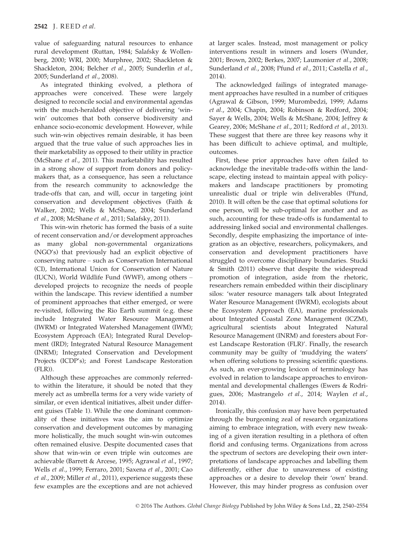value of safeguarding natural resources to enhance rural development (Ruttan, 1984; Salafsky & Wollenberg, 2000; WRI, 2000; Murphree, 2002; Shackleton & Shackleton, 2004; Belcher et al., 2005; Sunderlin et al., 2005; Sunderland et al., 2008).

As integrated thinking evolved, a plethora of approaches were conceived. These were largely designed to reconcile social and environmental agendas with the much-heralded objective of delivering 'winwin' outcomes that both conserve biodiversity and enhance socio-economic development. However, while such win-win objectives remain desirable, it has been argued that the true value of such approaches lies in their marketability as opposed to their utility in practice (McShane et al., 2011). This marketability has resulted in a strong show of support from donors and policymakers that, as a consequence, has seen a reluctance from the research community to acknowledge the trade-offs that can, and will, occur in targeting joint conservation and development objectives (Faith & Walker, 2002; Wells & McShane, 2004; Sunderland et al., 2008; McShane et al., 2011; Salafsky, 2011).

This win-win rhetoric has formed the basis of a suite of recent conservation and/or development approaches as many global non-governmental organizations (NGO's) that previously had an explicit objective of conserving nature – such as Conservation International (CI), International Union for Conservation of Nature (IUCN), World Wildlife Fund (WWF), among others – developed projects to recognize the needs of people within the landscape. This review identified a number of prominent approaches that either emerged, or were re-visited, following the Rio Earth summit (e.g. these include Integrated Water Resource Management (IWRM) or Integrated Watershed Management (IWM); Ecosystem Approach (EA); Integrated Rural Development (IRD); Integrated Natural Resource Management (INRM); Integrated Conservation and Development Projects (ICDP's); and Forest Landscape Restoration (FLR)).

Although these approaches are commonly referredto within the literature, it should be noted that they merely act as umbrella terms for a very wide variety of similar, or even identical initiatives, albeit under different guises (Table 1). While the one dominant commonality of these initiatives was the aim to optimize conservation and development outcomes by managing more holistically, the much sought win-win outcomes often remained elusive. Despite documented cases that show that win-win or even triple win outcomes are achievable (Barrett & Arcese, 1995; Agrawal et al., 1997; Wells et al., 1999; Ferraro, 2001; Saxena et al., 2001; Cao et al., 2009; Miller et al., 2011), experience suggests these few examples are the exceptions and are not achieved

at larger scales. Instead, most management or policy interventions result in winners and losers (Wunder, 2001; Brown, 2002; Berkes, 2007; Laumonier et al., 2008; Sunderland et al., 2008; Pfund et al., 2011; Castella et al., 2014).

The acknowledged failings of integrated management approaches have resulted in a number of critiques (Agrawal & Gibson, 1999; Murombedzi, 1999; Adams et al., 2004; Chapin, 2004; Robinson & Redford, 2004; Sayer & Wells, 2004; Wells & McShane, 2004; Jeffrey & Gearey, 2006; McShane et al., 2011; Redford et al., 2013). These suggest that there are three key reasons why it has been difficult to achieve optimal, and multiple, outcomes.

First, these prior approaches have often failed to acknowledge the inevitable trade-offs within the landscape, electing instead to maintain appeal with policymakers and landscape practitioners by promoting unrealistic dual or triple win deliverables (Pfund, 2010). It will often be the case that optimal solutions for one person, will be sub-optimal for another and as such, accounting for these trade-offs is fundamental to addressing linked social and environmental challenges. Secondly, despite emphasizing the importance of integration as an objective, researchers, policymakers, and conservation and development practitioners have struggled to overcome disciplinary boundaries. Stucki & Smith (2011) observe that despite the widespread promotion of integration, aside from the rhetoric, researchers remain embedded within their disciplinary silos: 'water resource managers talk about Integrated Water Resource Management (IWRM), ecologists about the Ecosystem Approach (EA), marine professionals about Integrated Coastal Zone Management (ICZM), agricultural scientists about Integrated Natural Resource Management (INRM) and foresters about Forest Landscape Restoration (FLR)'. Finally, the research community may be guilty of 'muddying the waters' when offering solutions to pressing scientific questions. As such, an ever-growing lexicon of terminology has evolved in relation to landscape approaches to environmental and developmental challenges (Ewers & Rodrigues, 2006; Mastrangelo et al., 2014; Waylen et al., 2014).

Ironically, this confusion may have been perpetuated through the burgeoning zeal of research organizations aiming to embrace integration, with every new tweaking of a given iteration resulting in a plethora of often florid and confusing terms. Organizations from across the spectrum of sectors are developing their own interpretations of landscape approaches and labelling them differently, either due to unawareness of existing approaches or a desire to develop their 'own' brand. However, this may hinder progress as confusion over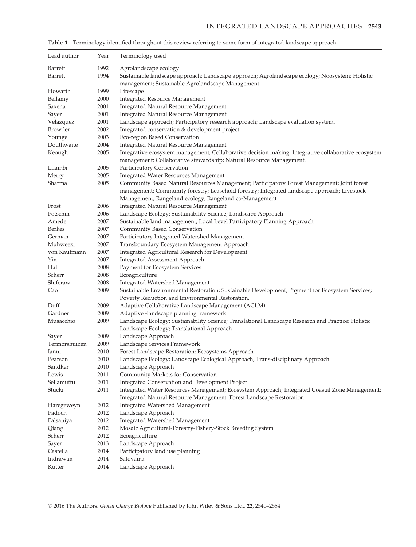| Lead author          | Year         | Terminology used                                                                                     |  |
|----------------------|--------------|------------------------------------------------------------------------------------------------------|--|
| Barrett              | 1992         | Agrolandscape ecology                                                                                |  |
| Barrett              | 1994         | Sustainable landscape approach; Landscape approach; Agrolandscape ecology; Noosystem; Holistic       |  |
|                      |              | management; Sustainable Agrolandscape Management.                                                    |  |
| Howarth              | 1999         | Lifescape                                                                                            |  |
| Bellamy              | 2000         | <b>Integrated Resource Management</b>                                                                |  |
| Saxena               | 2001         | <b>Integrated Natural Resource Management</b>                                                        |  |
| Sayer                | 2001         | Integrated Natural Resource Management                                                               |  |
| Velazquez            | 2001         | Landscape approach; Participatory research approach; Landscape evaluation system.                    |  |
| Browder              | 2002         | Integrated conservation & development project                                                        |  |
| Younge               | 2003         | Eco-region Based Conservation                                                                        |  |
| Douthwaite           | 2004         | Integrated Natural Resource Management                                                               |  |
| Keough               | 2005         | Integrative ecosystem management; Collaborative decision making; Integrative collaborative ecosystem |  |
|                      |              | management; Collaborative stewardship; Natural Resource Management.                                  |  |
| Lllambi              | 2005         | Participatory Conservation                                                                           |  |
| Merry                | 2005         | <b>Integrated Water Resources Management</b>                                                         |  |
| Sharma               | 2005         | Community Based Natural Resources Management; Participatory Forest Management; Joint forest          |  |
|                      |              | management; Community forestry; Leasehold forestry; Integrated landscape approach; Livestock         |  |
|                      |              | Management; Rangeland ecology; Rangeland co-Management                                               |  |
| Frost                | 2006         | <b>Integrated Natural Resource Management</b>                                                        |  |
| Potschin             | 2006         | Landscape Ecology; Sustainability Science; Landscape Approach                                        |  |
| Amede                | 2007         | Sustainable land management; Local Level Participatory Planning Approach                             |  |
| <b>Berkes</b>        | 2007         | Community Based Conservation                                                                         |  |
| German               | $2007\,$     | Participatory Integrated Watershed Management                                                        |  |
| Muhweezi             | 2007         | Transboundary Ecosystem Management Approach                                                          |  |
| von Kaufmann         | 2007         | Integrated Agricultural Research for Development                                                     |  |
| Yin                  | 2007         | <b>Integrated Assessment Approach</b>                                                                |  |
| Hall                 | 2008         | Payment for Ecosystem Services                                                                       |  |
| Scherr               | 2008         | Ecoagriculture                                                                                       |  |
| Shiferaw             | 2008         | Integrated Watershed Management                                                                      |  |
| Cao                  | 2009         | Sustainable Environmental Restoration; Sustainable Development; Payment for Ecosystem Services;      |  |
|                      |              | Poverty Reduction and Environmental Restoration.                                                     |  |
| Duff                 | 2009         | Adaptive Collaborative Landscape Management (ACLM)                                                   |  |
| Gardner              | 2009         | Adaptive -landscape planning framework                                                               |  |
| Musacchio            | 2009         | Landscape Ecology; Sustainability Science; Translational Landscape Research and Practice; Holistic   |  |
|                      |              | Landscape Ecology; Translational Approach                                                            |  |
| Sayer                | 2009         | Landscape Approach                                                                                   |  |
| Termorshuizen        | 2009         | Landscape Services Framework                                                                         |  |
| Ianni                | 2010         | Forest Landscape Restoration; Ecosystems Approach                                                    |  |
| Pearson              | 2010         | Landscape Ecology; Landscape Ecological Approach; Trans-disciplinary Approach                        |  |
| Sandker              | 2010         | Landscape Approach                                                                                   |  |
| Lewis                | 2011         | Community Markets for Conservation<br>Integrated Conservation and Development Project                |  |
| Sellamuttu           | 2011         |                                                                                                      |  |
| Stucki               | 2011         | Integrated Water Resources Management; Ecosystem Approach; Integrated Coastal Zone Management;       |  |
|                      |              | Integrated Natural Resource Management; Forest Landscape Restoration                                 |  |
| Haregeweyn<br>Padoch | 2012<br>2012 | Integrated Watershed Management<br>Landscape Approach                                                |  |
| Palsaniya            | 2012         | Integrated Watershed Management                                                                      |  |
|                      | 2012         | Mosaic Agricultural-Forestry-Fishery-Stock Breeding System                                           |  |
| Qiang<br>Scherr      | 2012         |                                                                                                      |  |
| Sayer                | 2013         | Ecoagriculture<br>Landscape Approach                                                                 |  |
| Castella             | 2014         | Participatory land use planning                                                                      |  |
| Indrawan             | 2014         | Satoyama                                                                                             |  |
| Kutter               | 2014         | Landscape Approach                                                                                   |  |
|                      |              |                                                                                                      |  |

Table 1 Terminology identified throughout this review referring to some form of integrated landscape approach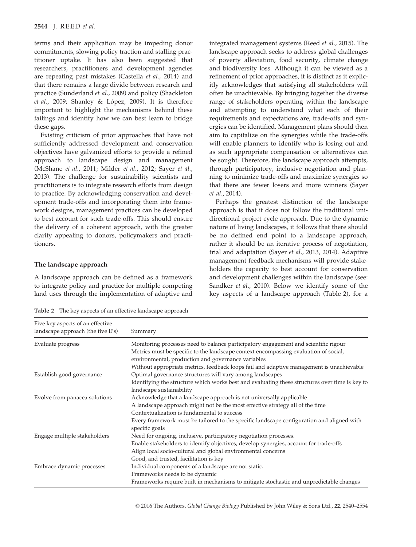terms and their application may be impeding donor commitments, slowing policy traction and stalling practitioner uptake. It has also been suggested that researchers, practitioners and development agencies are repeating past mistakes (Castella et al., 2014) and that there remains a large divide between research and practice (Sunderland et al., 2009) and policy (Shackleton et al., 2009; Shanley & López, 2009). It is therefore important to highlight the mechanisms behind these failings and identify how we can best learn to bridge these gaps.

Existing criticism of prior approaches that have not sufficiently addressed development and conservation objectives have galvanized efforts to provide a refined approach to landscape design and management (McShane et al., 2011; Milder et al., 2012; Sayer et al., 2013). The challenge for sustainability scientists and practitioners is to integrate research efforts from design to practice. By acknowledging conservation and development trade-offs and incorporating them into framework designs, management practices can be developed to best account for such trade-offs. This should ensure the delivery of a coherent approach, with the greater clarity appealing to donors, policymakers and practitioners.

## The landscape approach

A landscape approach can be defined as a framework to integrate policy and practice for multiple competing land uses through the implementation of adaptive and integrated management systems (Reed et al., 2015). The landscape approach seeks to address global challenges of poverty alleviation, food security, climate change and biodiversity loss. Although it can be viewed as a refinement of prior approaches, it is distinct as it explicitly acknowledges that satisfying all stakeholders will often be unachievable. By bringing together the diverse range of stakeholders operating within the landscape and attempting to understand what each of their requirements and expectations are, trade-offs and synergies can be identified. Management plans should then aim to capitalize on the synergies while the trade-offs will enable planners to identify who is losing out and as such appropriate compensation or alternatives can be sought. Therefore, the landscape approach attempts, through participatory, inclusive negotiation and planning to minimize trade-offs and maximize synergies so that there are fewer losers and more winners (Sayer et al., 2014).

Perhaps the greatest distinction of the landscape approach is that it does not follow the traditional unidirectional project cycle approach. Due to the dynamic nature of living landscapes, it follows that there should be no defined end point to a landscape approach, rather it should be an iterative process of negotiation, trial and adaptation (Sayer et al., 2013, 2014). Adaptive management feedback mechanisms will provide stakeholders the capacity to best account for conservation and development challenges within the landscape (see: Sandker et al., 2010). Below we identify some of the key aspects of a landscape approach (Table 2), for a

| Five key aspects of an effective<br>landscape approach (the five E's) | Summary                                                                                                                                    |
|-----------------------------------------------------------------------|--------------------------------------------------------------------------------------------------------------------------------------------|
| Evaluate progress                                                     | Monitoring processes need to balance participatory engagement and scientific rigour                                                        |
|                                                                       | Metrics must be specific to the landscape context encompassing evaluation of social,<br>environmental, production and governance variables |
|                                                                       | Without appropriate metrics, feedback loops fail and adaptive management is unachievable                                                   |
| Establish good governance                                             | Optimal governance structures will vary among landscapes                                                                                   |
|                                                                       | Identifying the structure which works best and evaluating these structures over time is key to<br>landscape sustainability                 |
| Evolve from panacea solutions                                         | Acknowledge that a landscape approach is not universally applicable                                                                        |
|                                                                       | A landscape approach might not be the most effective strategy all of the time                                                              |
|                                                                       | Contextualization is fundamental to success                                                                                                |
|                                                                       | Every framework must be tailored to the specific landscape configuration and aligned with<br>specific goals                                |
| Engage multiple stakeholders                                          | Need for ongoing, inclusive, participatory negotiation processes.                                                                          |
|                                                                       | Enable stakeholders to identify objectives, develop synergies, account for trade-offs                                                      |
|                                                                       | Align local socio-cultural and global environmental concerns                                                                               |
|                                                                       | Good, and trusted, facilitation is key                                                                                                     |
| Embrace dynamic processes                                             | Individual components of a landscape are not static.                                                                                       |
|                                                                       | Frameworks needs to be dynamic                                                                                                             |
|                                                                       | Frameworks require built in mechanisms to mitigate stochastic and unpredictable changes                                                    |

Table 2 The key aspects of an effective landscape approach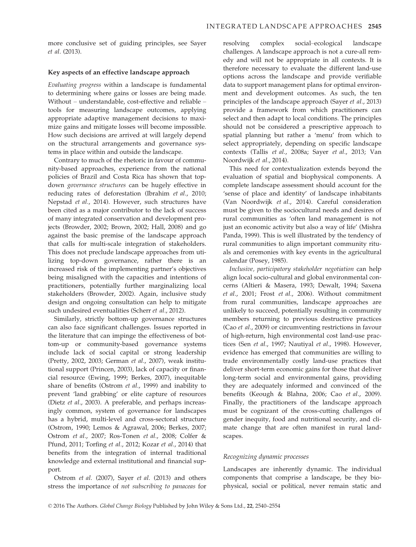more conclusive set of guiding principles, see Sayer et al. (2013).

#### Key aspects of an effective landscape approach

Evaluating progress within a landscape is fundamental to determining where gains or losses are being made. Without – understandable, cost-effective and reliable – tools for measuring landscape outcomes, applying appropriate adaptive management decisions to maximize gains and mitigate losses will become impossible. How such decisions are arrived at will largely depend on the structural arrangements and governance systems in place within and outside the landscape.

Contrary to much of the rhetoric in favour of community-based approaches, experience from the national policies of Brazil and Costa Rica has shown that topdown governance structures can be hugely effective in reducing rates of deforestation (Ibrahim et al., 2010; Nepstad et al., 2014). However, such structures have been cited as a major contributor to the lack of success of many integrated conservation and development projects (Browder, 2002; Brown, 2002; Hall, 2008) and go against the basic premise of the landscape approach that calls for multi-scale integration of stakeholders. This does not preclude landscape approaches from utilizing top-down governance, rather there is an increased risk of the implementing partner's objectives being misaligned with the capacities and intentions of practitioners, potentially further marginalizing local stakeholders (Browder, 2002). Again, inclusive study design and ongoing consultation can help to mitigate such undesired eventualities (Scherr et al., 2012).

Similarly, strictly bottom-up governance structures can also face significant challenges. Issues reported in the literature that can impinge the effectiveness of bottom-up or community-based governance systems include lack of social capital or strong leadership (Pretty, 2002, 2003; German et al., 2007), weak institutional support (Princen, 2003), lack of capacity or financial resource (Ewing, 1999; Berkes, 2007), inequitable share of benefits (Ostrom et al., 1999) and inability to prevent 'land grabbing' or elite capture of resources (Dietz et al., 2003). A preferable, and perhaps increasingly common, system of governance for landscapes has a hybrid, multi-level and cross-sectoral structure (Ostrom, 1990; Lemos & Agrawal, 2006; Berkes, 2007; Ostrom et al., 2007; Ros-Tonen et al., 2008; Colfer & Pfund, 2011; Torfing et al., 2012; Kozar et al., 2014) that benefits from the integration of internal traditional knowledge and external institutional and financial support.

Ostrom et al. (2007), Sayer et al. (2013) and others stress the importance of not subscribing to panaceas for resolving complex social–ecological landscape challenges. A landscape approach is not a cure-all remedy and will not be appropriate in all contexts. It is therefore necessary to evaluate the different land-use options across the landscape and provide verifiable data to support management plans for optimal environment and development outcomes. As such, the ten principles of the landscape approach (Sayer et al., 2013) provide a framework from which practitioners can select and then adapt to local conditions. The principles should not be considered a prescriptive approach to spatial planning but rather a 'menu' from which to select appropriately, depending on specific landscape contexts (Tallis et al., 2008a; Sayer et al., 2013; Van Noordwijk et al., 2014).

This need for contextualization extends beyond the evaluation of spatial and biophysical components. A complete landscape assessment should account for the 'sense of place and identity' of landscape inhabitants (Van Noordwijk et al., 2014). Careful consideration must be given to the sociocultural needs and desires of rural communities as 'often land management is not just an economic activity but also a way of life' (Mishra Panda, 1999). This is well illustrated by the tendency of rural communities to align important community rituals and ceremonies with key events in the agricultural calendar (Posey, 1985).

Inclusive, participatory stakeholder negotiation can help align local socio-cultural and global environmental concerns (Altieri & Masera, 1993; Dewalt, 1994; Saxena et al., 2001; Frost et al., 2006). Without commitment from rural communities, landscape approaches are unlikely to succeed, potentially resulting in community members returning to previous destructive practices (Cao et al., 2009) or circumventing restrictions in favour of high-return, high environmental cost land-use practices (Sen et al., 1997; Nautiyal et al., 1998). However, evidence has emerged that communities are willing to trade environmentally costly land-use practices that deliver short-term economic gains for those that deliver long-term social and environmental gains, providing they are adequately informed and convinced of the benefits (Keough & Blahna, 2006; Cao et al., 2009). Finally, the practitioners of the landscape approach must be cognizant of the cross-cutting challenges of gender inequity, food and nutritional security, and climate change that are often manifest in rural landscapes.

#### Recognizing dynamic processes

Landscapes are inherently dynamic. The individual components that comprise a landscape, be they biophysical, social or political, never remain static and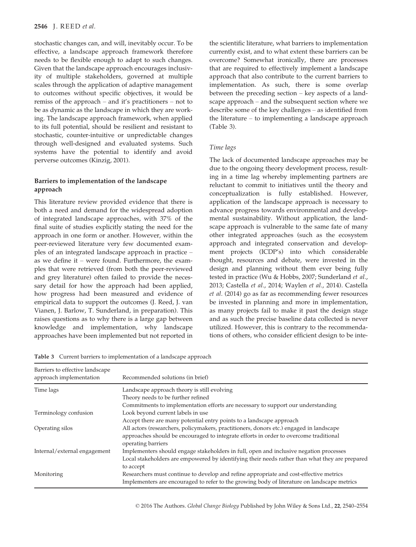stochastic changes can, and will, inevitably occur. To be effective, a landscape approach framework therefore needs to be flexible enough to adapt to such changes. Given that the landscape approach encourages inclusivity of multiple stakeholders, governed at multiple scales through the application of adaptive management to outcomes without specific objectives, it would be remiss of the approach – and it's practitioners – not to be as dynamic as the landscape in which they are working. The landscape approach framework, when applied to its full potential, should be resilient and resistant to stochastic, counter-intuitive or unpredictable changes through well-designed and evaluated systems. Such systems have the potential to identify and avoid perverse outcomes (Kinzig, 2001).

## Barriers to implementation of the landscape approach

This literature review provided evidence that there is both a need and demand for the widespread adoption of integrated landscape approaches, with 37% of the final suite of studies explicitly stating the need for the approach in one form or another. However, within the peer-reviewed literature very few documented examples of an integrated landscape approach in practice – as we define it – were found. Furthermore, the examples that were retrieved (from both the peer-reviewed and grey literature) often failed to provide the necessary detail for how the approach had been applied, how progress had been measured and evidence of empirical data to support the outcomes (J. Reed, J. van Vianen, J. Barlow, T. Sunderland, in preparation). This raises questions as to why there is a large gap between knowledge and implementation, why landscape approaches have been implemented but not reported in

the scientific literature, what barriers to implementation currently exist, and to what extent these barriers can be overcome? Somewhat ironically, there are processes that are required to effectively implement a landscape approach that also contribute to the current barriers to implementation. As such, there is some overlap between the preceding section – key aspects of a landscape approach – and the subsequent section where we describe some of the key challenges – as identified from the literature – to implementing a landscape approach (Table 3).

## Time lags

The lack of documented landscape approaches may be due to the ongoing theory development process, resulting in a time lag whereby implementing partners are reluctant to commit to initiatives until the theory and conceptualization is fully established. However, application of the landscape approach is necessary to advance progress towards environmental and developmental sustainability. Without application, the landscape approach is vulnerable to the same fate of many other integrated approaches (such as the ecosystem approach and integrated conservation and development projects (ICDP's) into which considerable thought, resources and debate, were invested in the design and planning without them ever being fully tested in practice (Wu & Hobbs, 2007; Sunderland et al., 2013; Castella et al., 2014; Waylen et al., 2014). Castella et al. (2014) go as far as recommending fewer resources be invested in planning and more in implementation, as many projects fail to make it past the design stage and as such the precise baseline data collected is never utilized. However, this is contrary to the recommendations of others, who consider efficient design to be inte-

Table 3 Current barriers to implementation of a landscape approach

| Barriers to effective landscape<br>approach implementation | Recommended solutions (in brief)                                                                            |
|------------------------------------------------------------|-------------------------------------------------------------------------------------------------------------|
| Time lags                                                  | Landscape approach theory is still evolving                                                                 |
|                                                            | Theory needs to be further refined                                                                          |
|                                                            | Commitments to implementation efforts are necessary to support our understanding                            |
| Terminology confusion                                      | Look beyond current labels in use                                                                           |
|                                                            | Accept there are many potential entry points to a landscape approach                                        |
| Operating silos                                            | All actors (researchers, policymakers, practitioners, donors etc.) engaged in landscape                     |
|                                                            | approaches should be encouraged to integrate efforts in order to overcome traditional<br>operating barriers |
| Internal/external engagement                               | Implementers should engage stakeholders in full, open and inclusive negation processes                      |
|                                                            | Local stakeholders are empowered by identifying their needs rather than what they are prepared              |
|                                                            | to accept                                                                                                   |
| Monitoring                                                 | Researchers must continue to develop and refine appropriate and cost-effective metrics                      |
|                                                            | Implementers are encouraged to refer to the growing body of literature on landscape metrics                 |

© 2016 The Authors. Global Change Biology Published by John Wiley & Sons Ltd., 22, 2540-2554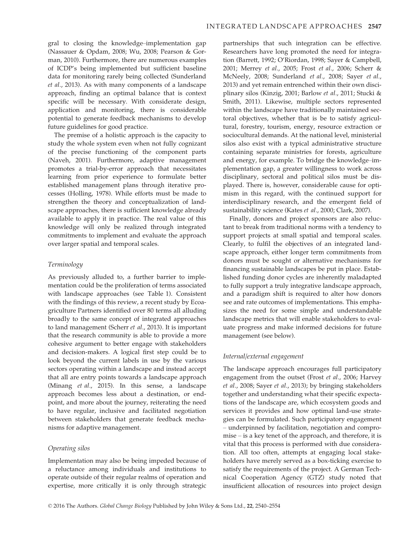gral to closing the knowledge–implementation gap (Nassauer & Opdam, 2008; Wu, 2008; Pearson & Gorman, 2010). Furthermore, there are numerous examples of ICDP's being implemented but sufficient baseline data for monitoring rarely being collected (Sunderland et al., 2013). As with many components of a landscape approach, finding an optimal balance that is context specific will be necessary. With considerate design, application and monitoring, there is considerable potential to generate feedback mechanisms to develop future guidelines for good practice.

The premise of a holistic approach is the capacity to study the whole system even when not fully cognizant of the precise functioning of the component parts (Naveh, 2001). Furthermore, adaptive management promotes a trial-by-error approach that necessitates learning from prior experience to formulate better established management plans through iterative processes (Holling, 1978). While efforts must be made to strengthen the theory and conceptualization of landscape approaches, there is sufficient knowledge already available to apply it in practice. The real value of this knowledge will only be realized through integrated commitments to implement and evaluate the approach over larger spatial and temporal scales.

## Terminology

As previously alluded to, a further barrier to implementation could be the proliferation of terms associated with landscape approaches (see Table 1). Consistent with the findings of this review, a recent study by Ecoagriculture Partners identified over 80 terms all alluding broadly to the same concept of integrated approaches to land management (Scherr et al., 2013). It is important that the research community is able to provide a more cohesive argument to better engage with stakeholders and decision-makers. A logical first step could be to look beyond the current labels in use by the various sectors operating within a landscape and instead accept that all are entry points towards a landscape approach (Minang et al., 2015). In this sense, a landscape approach becomes less about a destination, or endpoint, and more about the journey, reiterating the need to have regular, inclusive and facilitated negotiation between stakeholders that generate feedback mechanisms for adaptive management.

## Operating silos

Implementation may also be being impeded because of a reluctance among individuals and institutions to operate outside of their regular realms of operation and expertise, more critically it is only through strategic partnerships that such integration can be effective. Researchers have long promoted the need for integration (Barrett, 1992; O'Riordan, 1998; Sayer & Campbell, 2001; Merrey et al., 2005; Frost et al., 2006; Scherr & McNeely, 2008; Sunderland et al., 2008; Sayer et al., 2013) and yet remain entrenched within their own disciplinary silos (Kinzig, 2001; Barlow et al., 2011; Stucki & Smith, 2011). Likewise, multiple sectors represented within the landscape have traditionally maintained sectoral objectives, whether that is be to satisfy agricultural, forestry, tourism, energy, resource extraction or sociocultural demands. At the national level, ministerial silos also exist with a typical administrative structure containing separate ministries for forests, agriculture and energy, for example. To bridge the knowledge–implementation gap, a greater willingness to work across disciplinary, sectoral and political silos must be displayed. There is, however, considerable cause for optimism in this regard, with the continued support for interdisciplinary research, and the emergent field of sustainability science (Kates et al., 2000; Clark, 2007).

Finally, donors and project sponsors are also reluctant to break from traditional norms with a tendency to support projects at small spatial and temporal scales. Clearly, to fulfil the objectives of an integrated landscape approach, either longer term commitments from donors must be sought or alternative mechanisms for financing sustainable landscapes be put in place. Established funding donor cycles are inherently maladapted to fully support a truly integrative landscape approach, and a paradigm shift is required to alter how donors see and rate outcomes of implementations. This emphasizes the need for some simple and understandable landscape metrics that will enable stakeholders to evaluate progress and make informed decisions for future management (see below).

## Internal/external engagement

The landscape approach encourages full participatory engagement from the outset (Frost et al., 2006; Harvey et al., 2008; Sayer et al., 2013); by bringing stakeholders together and understanding what their specific expectations of the landscape are, which ecosystem goods and services it provides and how optimal land-use strategies can be formulated. Such participatory engagement – underpinned by facilitation, negotiation and compromise – is a key tenet of the approach, and therefore, it is vital that this process is performed with due consideration. All too often, attempts at engaging local stakeholders have merely served as a box-ticking exercise to satisfy the requirements of the project. A German Technical Cooperation Agency (GTZ) study noted that insufficient allocation of resources into project design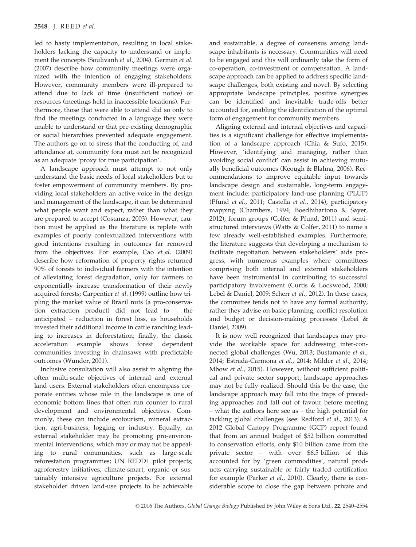led to hasty implementation, resulting in local stakeholders lacking the capacity to understand or implement the concepts (Soulivanh et al., 2004). German et al. (2007) describe how community meetings were organized with the intention of engaging stakeholders. However, community members were ill-prepared to attend due to lack of time (insufficient notice) or resources (meetings held in inaccessible locations). Furthermore, those that were able to attend did so only to find the meetings conducted in a language they were unable to understand or that pre-existing demographic or social hierarchies prevented adequate engagement. The authors go on to stress that the conducting of, and attendance at, community fora must not be recognized as an adequate 'proxy for true participation'.

A landscape approach must attempt to not only understand the basic needs of local stakeholders but to foster empowerment of community members. By providing local stakeholders an active voice in the design and management of the landscape, it can be determined what people want and expect, rather than what they are prepared to accept (Costanza, 2003). However, caution must be applied as the literature is replete with examples of poorly contextualized interventions with good intentions resulting in outcomes far removed from the objectives. For example, Cao et al. (2009) describe how reformation of property rights returned 90% of forests to individual farmers with the intention of alleviating forest degradation, only for farmers to exponentially increase transformation of their newly acquired forests; Carpentier et al. (1999) outline how tripling the market value of Brazil nuts (a pro-conservation extraction product) did not lead to – the anticipated – reduction in forest loss, as households invested their additional income in cattle ranching leading to increases in deforestation; finally, the classic acceleration example shows forest dependent communities investing in chainsaws with predictable outcomes (Wunder, 2001).

Inclusive consultation will also assist in aligning the often multi-scale objectives of internal and external land users. External stakeholders often encompass corporate entities whose role in the landscape is one of economic bottom lines that often run counter to rural development and environmental objectives. Commonly, these can include ecotourism, mineral extraction, agri-business, logging or industry. Equally, an external stakeholder may be promoting pro-environmental interventions, which may or may not be appealing to rural communities, such as large-scale reforestation programmes; UN REDD+ pilot projects; agroforestry initiatives; climate-smart, organic or sustainably intensive agriculture projects. For external stakeholder driven land-use projects to be achievable and sustainable, a degree of consensus among landscape inhabitants is necessary. Communities will need to be engaged and this will ordinarily take the form of co-operation, co-investment or compensation. A landscape approach can be applied to address specific landscape challenges, both existing and novel. By selecting appropriate landscape principles, positive synergies can be identified and inevitable trade-offs better accounted for, enabling the identification of the optimal form of engagement for community members.

Aligning external and internal objectives and capacities is a significant challenge for effective implementation of a landscape approach (Chia & Sufo, 2015). However, 'identifying and managing, rather than avoiding social conflict' can assist in achieving mutually beneficial outcomes (Keough & Blahna, 2006). Recommendations to improve equitable input towards landscape design and sustainable, long-term engagement include: participatory land-use planning (PLUP) (Pfund et al., 2011; Castella et al., 2014), participatory mapping (Chambers, 1994; Boedhihartono & Sayer, 2012), forum groups (Colfer & Pfund, 2011) and semistructured interviews (Watts & Colfer, 2011) to name a few already well-established examples. Furthermore, the literature suggests that developing a mechanism to facilitate negotiation between stakeholders' aids progress, with numerous examples where committees comprising both internal and external stakeholders have been instrumental in contributing to successful participatory involvement (Curtis & Lockwood, 2000; Lebel & Daniel, 2009; Scherr et al., 2012). In these cases, the committee tends not to have any formal authority, rather they advise on basic planning, conflict resolution and budget or decision-making processes (Lebel & Daniel, 2009).

It is now well recognized that landscapes may provide the workable space for addressing inter-connected global challenges (Wu, 2013; Bustamante et al., 2014; Estrada-Carmona et al., 2014; Milder et al., 2014; Mbow et al., 2015). However, without sufficient political and private sector support, landscape approaches may not be fully realized. Should this be the case, the landscape approach may fall into the traps of preceding approaches and fall out of favour before meeting – what the authors here see as – the high potential for tackling global challenges (see: Redford et al., 2013). A 2012 Global Canopy Programme (GCP) report found that from an annual budget of \$52 billion committed to conservation efforts, only \$10 billion came from the private sector – with over \$6.5 billion of this accounted for by 'green commodities', natural products carrying sustainable or fairly traded certification for example (Parker et al., 2010). Clearly, there is considerable scope to close the gap between private and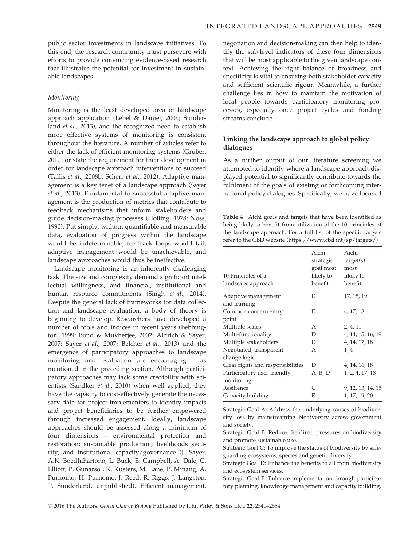public sector investments in landscape initiatives. To this end, the research community must persevere with efforts to provide convincing evidence-based research that illustrates the potential for investment in sustainable landscapes.

## Monitoring

Monitoring is the least developed area of landscape approach application (Lebel & Daniel, 2009; Sunderland et al., 2013), and the recognized need to establish more effective systems of monitoring is consistent throughout the literature. A number of articles refer to either the lack of efficient monitoring systems (Gruber, 2010) or state the requirement for their development in order for landscape approach interventions to succeed (Tallis et al., 2008b; Scherr et al., 2012). Adaptive management is a key tenet of a landscape approach (Sayer et al., 2013). Fundamental to successful adaptive management is the production of metrics that contribute to feedback mechanisms that inform stakeholders and guide decision-making processes (Holling, 1978; Noss, 1990). Put simply, without quantifiable and measurable data, evaluation of progress within the landscape would be indeterminable, feedback loops would fail, adaptive management would be unachievable, and landscape approaches would thus be ineffective.

Landscape monitoring is an inherently challenging task. The size and complexity demand significant intellectual willingness, and financial, institutional and human resource commitments (Singh et al., 2014). Despite the general lack of frameworks for data collection and landscape evaluation, a body of theory is beginning to develop. Researchers have developed a number of tools and indices in recent years (Bebbington, 1999; Bond & Mukherjee, 2002; Aldrich & Sayer, 2007; Sayer et al., 2007; Belcher et al., 2013) and the emergence of participatory approaches to landscape monitoring and evaluation are encouraging – as mentioned in the preceding section. Although participatory approaches may lack some credibility with scientists (Sandker et al., 2010) when well applied, they have the capacity to cost-effectively generate the necessary data for project implementers to identify impacts and project beneficiaries to be further empowered through increased engagement. Ideally, landscape approaches should be assessed along a minimum of four dimensions – environmental protection and restoration; sustainable production; livelihoods security; and institutional capacity/governance (J. Sayer, A.K. Boedhihartono, L. Buck, B. Campbell, A. Dale, C. Elliott, P. Gunarso , K. Kusters, M. Lane, P. Minang, A. Purnomo, H. Purnomo, J. Reed, R. Riggs, J. Langston, T. Sunderland, unpublished). Efficient management, negotiation and decision-making can then help to identify the sub-level indicators of these four dimensions that will be most applicable to the given landscape context. Achieving the right balance of broadness and specificity is vital to ensuring both stakeholder capacity and sufficient scientific rigour. Meanwhile, a further challenge lies in how to maintain the motivation of local people towards participatory monitoring processes, especially once project cycles and funding streams conclude.

## Linking the landscape approach to global policy dialogues

As a further output of our literature screening we attempted to identify where a landscape approach displayed potential to significantly contribute towards the fulfilment of the goals of existing or forthcoming international policy dialogues. Specifically, we have focused

Table 4 Aichi goals and targets that have been identified as being likely to benefit from utilization of the 10 principles of the landscape approach. For a full list of the specific targets refer to the CBD website (https://www.cbd.int/sp/targets/)

| 10 Principles of a<br>landscape approach | Aichi<br>strategic<br>goal most<br>likely to<br>benefit | Aichi<br>target(s)<br>most<br>likely to<br>benefit |
|------------------------------------------|---------------------------------------------------------|----------------------------------------------------|
| Adaptive management                      | E                                                       | 17, 18, 19                                         |
| and learning                             |                                                         |                                                    |
| Common concern entry                     | E                                                       | 4, 17, 18                                          |
| point                                    |                                                         |                                                    |
| Multiple scales                          | A                                                       | 2, 4, 11                                           |
| Multi-functionality                      | D                                                       | 4, 14, 15, 16, 19                                  |
| Multiple stakeholders                    | E                                                       | 4, 14, 17, 18                                      |
| Negotiated, transparent                  | A                                                       | 1,4                                                |
| change logic                             |                                                         |                                                    |
| Clear rights and responsibilities        | D                                                       | 4, 14, 16, 18                                      |
| Participatory user-friendly              | A, B, D                                                 | 1, 2, 4, 17, 18                                    |
| monitoring                               |                                                         |                                                    |
| Resilience                               | C                                                       | 9, 12, 13, 14, 15                                  |
| Capacity building                        | E                                                       | 1, 17, 19, 20                                      |

Strategic Goal A: Address the underlying causes of biodiversity loss by mainstreaming biodiversity across government and society.

Strategic Goal B: Reduce the direct pressures on biodiversity and promote sustainable use.

Strategic Goal C: To improve the status of biodiversity by safeguarding ecosystems, species and genetic diversity.

Strategic Goal D: Enhance the benefits to all from biodiversity and ecosystem services.

Strategic Goal E: Enhance implementation through participatory planning, knowledge management and capacity building.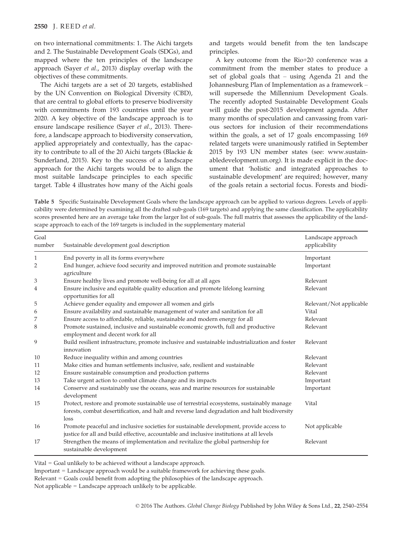on two international commitments: 1. The Aichi targets and 2. The Sustainable Development Goals (SDGs), and mapped where the ten principles of the landscape approach (Sayer et al., 2013) display overlap with the objectives of these commitments.

The Aichi targets are a set of 20 targets, established by the UN Convention on Biological Diversity (CBD), that are central to global efforts to preserve biodiversity with commitments from 193 countries until the year 2020. A key objective of the landscape approach is to ensure landscape resilience (Sayer et al., 2013). Therefore, a landscape approach to biodiversity conservation, applied appropriately and contextually, has the capacity to contribute to all of the 20 Aichi targets (Blackie & Sunderland, 2015). Key to the success of a landscape approach for the Aichi targets would be to align the most suitable landscape principles to each specific target. Table 4 illustrates how many of the Aichi goals and targets would benefit from the ten landscape principles.

A key outcome from the Rio+20 conference was a commitment from the member states to produce a set of global goals that – using Agenda 21 and the Johannesburg Plan of Implementation as a framework – will supersede the Millennium Development Goals. The recently adopted Sustainable Development Goals will guide the post-2015 development agenda. After many months of speculation and canvassing from various sectors for inclusion of their recommendations within the goals, a set of 17 goals encompassing 169 related targets were unanimously ratified in September 2015 by 193 UN member states (see: [www.sustain](http://www.sustainabledevelopment.un.org)[abledevelopment.un.org](http://www.sustainabledevelopment.un.org)). It is made explicit in the document that 'holistic and integrated approaches to sustainable development' are required; however, many of the goals retain a sectorial focus. Forests and biodi-

Table 5 Specific Sustainable Development Goals where the landscape approach can be applied to various degrees. Levels of applicability were determined by examining all the drafted sub-goals (169 targets) and applying the same classification. The applicability scores presented here are an average take from the larger list of sub-goals. The full matrix that assesses the applicability of the landscape approach to each of the 169 targets is included in the supplementary material

| Goal<br>number | Sustainable development goal description                                                                                                                                                           | Landscape approach<br>applicability |
|----------------|----------------------------------------------------------------------------------------------------------------------------------------------------------------------------------------------------|-------------------------------------|
| 1              | End poverty in all its forms everywhere                                                                                                                                                            | Important                           |
| 2              | End hunger, achieve food security and improved nutrition and promote sustainable<br>agriculture                                                                                                    | Important                           |
| 3              | Ensure healthy lives and promote well-being for all at all ages                                                                                                                                    | Relevant                            |
| 4              | Ensure inclusive and equitable quality education and promote lifelong learning<br>opportunities for all                                                                                            | Relevant                            |
| 5              | Achieve gender equality and empower all women and girls                                                                                                                                            | Relevant/Not applicable             |
| 6              | Ensure availability and sustainable management of water and sanitation for all                                                                                                                     | Vital                               |
| 7              | Ensure access to affordable, reliable, sustainable and modern energy for all                                                                                                                       | Relevant                            |
| 8              | Promote sustained, inclusive and sustainable economic growth, full and productive<br>employment and decent work for all                                                                            | Relevant                            |
| 9              | Build resilient infrastructure, promote inclusive and sustainable industrialization and foster<br>innovation                                                                                       | Relevant                            |
| 10             | Reduce inequality within and among countries                                                                                                                                                       | Relevant                            |
| 11             | Make cities and human settlements inclusive, safe, resilient and sustainable                                                                                                                       | Relevant                            |
| 12             | Ensure sustainable consumption and production patterns                                                                                                                                             | Relevant                            |
| 13             | Take urgent action to combat climate change and its impacts                                                                                                                                        | Important                           |
| 14             | Conserve and sustainably use the oceans, seas and marine resources for sustainable<br>development                                                                                                  | Important                           |
| 15             | Protect, restore and promote sustainable use of terrestrial ecosystems, sustainably manage<br>forests, combat desertification, and halt and reverse land degradation and halt biodiversity<br>loss | Vital                               |
| 16             | Promote peaceful and inclusive societies for sustainable development, provide access to<br>justice for all and build effective, accountable and inclusive institutions at all levels               | Not applicable                      |
| 17             | Strengthen the means of implementation and revitalize the global partnership for<br>sustainable development                                                                                        | Relevant                            |

Vital = Goal unlikely to be achieved without a landscape approach.

Important = Landscape approach would be a suitable framework for achieving these goals.

Relevant = Goals could benefit from adopting the philosophies of the landscape approach.

Not applicable = Landscape approach unlikely to be applicable.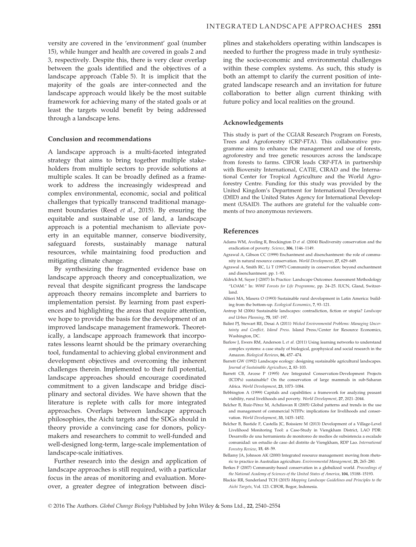versity are covered in the 'environment' goal (number 15), while hunger and health are covered in goals 2 and 3, respectively. Despite this, there is very clear overlap between the goals identified and the objectives of a landscape approach (Table 5). It is implicit that the majority of the goals are inter-connected and the landscape approach would likely be the most suitable framework for achieving many of the stated goals or at least the targets would benefit by being addressed through a landscape lens.

#### Conclusion and recommendations

A landscape approach is a multi-faceted integrated strategy that aims to bring together multiple stakeholders from multiple sectors to provide solutions at multiple scales. It can be broadly defined as a framework to address the increasingly widespread and complex environmental, economic, social and political challenges that typically transcend traditional management boundaries (Reed et al., 2015). By ensuring the equitable and sustainable use of land, a landscape approach is a potential mechanism to alleviate poverty in an equitable manner, conserve biodiversity, safeguard forests, sustainably manage natural resources, while maintaining food production and mitigating climate change.

By synthesizing the fragmented evidence base on landscape approach theory and conceptualization, we reveal that despite significant progress the landscape approach theory remains incomplete and barriers to implementation persist. By learning from past experiences and highlighting the areas that require attention, we hope to provide the basis for the development of an improved landscape management framework. Theoretically, a landscape approach framework that incorporates lessons learnt should be the primary overarching tool, fundamental to achieving global environment and development objectives and overcoming the inherent challenges therein. Implemented to their full potential, landscape approaches should encourage coordinated commitment to a given landscape and bridge disciplinary and sectoral divides. We have shown that the literature is replete with calls for more integrated approaches. Overlaps between landscape approach philosophies, the Aichi targets and the SDGs should in theory provide a convincing case for donors, policymakers and researchers to commit to well-funded and well-designed long-term, large-scale implementation of landscape-scale initiatives.

Further research into the design and application of landscape approaches is still required, with a particular focus in the areas of monitoring and evaluation. Moreover, a greater degree of integration between disciplines and stakeholders operating within landscapes is needed to further the progress made in truly synthesizing the socio-economic and environmental challenges within these complex systems. As such, this study is both an attempt to clarify the current position of integrated landscape research and an invitation for future collaboration to better align current thinking with future policy and local realities on the ground.

## Acknowledgements

This study is part of the CGIAR Research Program on Forests, Trees and Agroforestry (CRP-FTA). This collaborative programme aims to enhance the management and use of forests, agroforestry and tree genetic resources across the landscape from forests to farms. CIFOR leads CRP-FTA in partnership with Bioversity International, CATIE, CIRAD and the International Center for Tropical Agriculture and the World Agroforestry Centre. Funding for this study was provided by the United Kingdom's Department for International Development (DfID) and the United States Agency for International Development (USAID). The authors are grateful for the valuable comments of two anonymous reviewers.

### References

- Adams WM, Aveling R, Brockington D et al. (2004) Biodiversity conservation and the eradication of poverty. Science, 306, 1146–1149.
- Agrawal A, Gibson CC (1999) Enchantment and disenchantment: the role of community in natural resource conservation. World Development, 27, 629–649.
- Agrawal A, Smith RC, Li T (1997) Community in conservation: beyond enchantment and disenchantment. pp. 1–93.
- Aldrich M, Sayer J (2007) In Practice: Landscape Outcomes Assessment Methodology "LOAM." In: WWF Forests for Life Programme, pp. 24–25. IUCN, Gland, Switzerland.
- Altieri MA, Masera O (1993) Sustainable rural development in Latin America: building from the bottom-up. Ecological Economics, 7, 93–121.
- Antrop M (2006) Sustainable landscapes: contradiction, fiction or utopia? Landscape and Urban Planning, 75, 187–197.
- Balint PJ, Stewart RE, Desai A (2011) Wicked Environmental Problems: Managing Uncertainty and Conflict, Island Press. Island Press/Center for Resource Economics, Washington, DC.
- Barlow J, Ewers RM, Anderson L et al. (2011) Using learning networks to understand complex systems: a case study of biological, geophysical and social research in the Amazon. Biological Reviews, 86, 457–474.
- Barrett GW (1992) Landscape ecology: designing sustainable agricultural landscapes. Journal of Sustainable Agriculture, 2, 83–103.
- Barrett CB, Arcese P (1995) Are Integrated Conservation-Development Projects (ICDPs) sustainable? On the conservation of large mammals in sub-Saharan Africa. World Development, 23, 1073–1084.
- Bebbington A (1999) Capitals and capabilities: a framework for analyzing peasant viability, rural livelihoods and poverty. World Development, 27, 2021–2044.
- Belcher B, Ruíz-Pérez M, Achdiawan R (2005) Global patterns and trends in the use and management of commercial NTFPs: implications for livelihoods and conservation. World Development, 33, 1435–1452.
- Belcher B, Bastide F, Castella JC, Boissiere M (2013) Development of a Village-Level Livelihood Monitoring Tool: a Case-Study in Viengkham District, LAO PDR: Desarrollo de una herramienta de monitoreo de medios de subsistencia a escalade comunidad: un estudio de caso del distrito de Viengkham, RDP Lao. International Forestry Review, 15, 48–59.
- Bellamy JA, Johnson AK (2000) Integrated resource management: moving from rhetoric to practice in Australian agriculture. Environmental Management, 25, 265–280.
- Berkes F (2007) Community-based conservation in a globalized world. Proceedings of the National Academy of Sciences of the United States of America, 104, 15188–15193.
- Blackie RR, Sunderland TCH (2015) Mapping Landscape Guidelines and Principles to the Aichi Targets, Vol. 123. CIFOR, Bogor, Indonesia.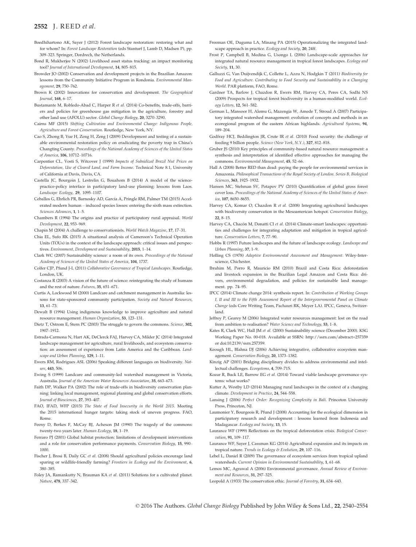- Boedhihartono AK, Sayer J (2012) Forest landscape restoration: restoring what and for whom? In: Forest Landscape Restoration (eds Stanturf J, Lamb D, Madsen P), pp. 309–323. Springer, Dordrech, the Netherlands.
- Bond R, Mukherjee N (2002) Livelihood asset status tracking: an impact monitoring tool? Journal of International Development, 14, 805–815.
- Browder JO (2002) Conservation and development projects in the Brazilian Amazon: lessons from the Community Initiative Program in Rondonia. Environmental Management, 29, 750–762.
- Brown K (2002) Innovations for conservation and development. The Geographical Journal, 168, 6–17.
- Bustamante M, Robledo-Abad C, Harper R et al. (2014) Co-benefits, trade-offs, barriers and policies for greenhouse gas mitigation in the agriculture, forestry and other land use (AFOLU) sector. Global Change Biology, 20, 3270–3290.
- Cairns MF (2015) Shifting Cultivation and Environmental Change: Indigenous People, Agriculture and Forest Conservation. Routledge, New York, NY.
- Cao S, Zhong B, Yue H, Zeng H, Zeng J (2009) Development and testing of a sustainable environmental restoration policy on eradicating the poverty trap in China's Changting County. Proceedings of the National Academy of Sciences of the United States of America, 106, 10712–10716.
- Carpentier CL, Vosti S, Witcover J (1999) Impacts of Subsidized Brazil Nut Prices on Deforestation, Use of Cleared Land, and Farm Income. Technical Note 8.1, University of California at Davis, Davis, CA.
- Castella JC, Bourgoin J, Lestrelin G, Bouahom B (2014) A model of the sciencepractice-policy interface in participatory land-use planning: lessons from Laos. Landscape Ecology, 29, 1095–1107.
- Ceballos G, Ehrlich PR, Barnosky AD, García A, Pringle RM, Palmer TM (2015) Accelerated modern human – induced species losses: entering the sixth mass extinction. Sciences Advances, 1, 1–5.
- Chambers R (1994) The origins and practice of participatory rural appraisal. World Development, 22, 953–969.
- Chapin M (2004) A challenge to conservationists. World Watch Magazine, 17, 17–31.
- Chia EL, Sufo RK (2015) A situational analysis of Cameroon's Technical Operation Units (TOUs) in the context of the landscape approach: critical issues and perspectives. Environment, Development and Sustainability, 2015, 1–14.
- Clark WC (2007) Sustainability science: a room of its own. Proceedings of the National Academy of Sciences of the United States of America, 104, 1737.
- Colfer CJP, Pfund J-L (2011) Collaborative Governance of Tropical Landscapes. Routledge, London, UK.
- Costanza R (2003) A vision of the future of science: reintegrating the study of humans and the rest of nature. Futures, 35, 651–671.
- Curtis A, Lockwood M (2000) Landcare and catchment management in Australia: lessons for state-sponsored community participation. Society and Natural Resources, 13, 61–73.
- Dewalt B (1994) Using indigenous knowledge to improve agriculture and natural resource management. Human Organization, 53, 123–131.
- Dietz T, Ostrom E, Stern PC (2003) The struggle to govern the commons. Science, 302, 1907–1912.
- Estrada-Carmona N, Hart AK, DeClerck FAJ, Harvey CA, Milder JC (2014) Integrated landscape management for agriculture, rural livelihoods, and ecosystem conservation: an assessment of experience from Latin America and the Caribbean. Landscape and Urban Planning, 129, 1–11.
- Ewers RM, Rodrigues ASL (2006) Speaking different languages on biodiversity. Nature, 443, 506.
- Ewing S (1999) Landcare and community-led watershed management in Victoria, Australia. Journal of the American Water Resources Association, 35, 663–673.
- Faith DP, Walker PA (2002) The role of trade-offs in biodiversity conservation planning: linking local management, regional planning and global conservation efforts. Journal of Biosciences, 27, 393–407.
- FAO, IFAD, WFP (2015) The State of Food Insecurity in the World 2015. Meeting the 2015 international hunger targets: taking stock of uneven progress. FAO, Rome.
- Feeny D, Berkes F, McCay BJ, Acheson JM (1990) The tragedy of the commons: twenty-two years later. Human Ecology, 18, 1–19.
- Ferraro PJ (2001) Global habitat protection: limitations of development interventions and a role for conservation performance payments. Conservation Biology, 15, 990– 1000.
- Fischer J, Brosi B, Daily GC et al. (2008) Should agricultural policies encourage land sparing or wildlife-friendly farming? Frontiers in Ecology and the Environment, 6 380–385.
- Foley JA, Ramankutty N, Brauman KA et al. (2011) Solutions for a cultivated planet. Nature, 478, 337–342.
- Freeman OE, Duguma LA, Minang PA (2015) Operationalizing the integrated landscape approach in practice. Ecology and Society, 20, 24ff.
- Frost P, Campbell B, Medina G, Usongo L (2006) Landscape-scale approaches for integrated natural resource management in tropical forest landscapes. Ecology and Society, 11, 30.
- Galluzzi G, Van Duijvendijk C, Collette L, Azzu N, Hodgkin T (2011) Biodiversity for Food and Agriculture. Contributing to Food Security and Sustainability in a Changing World. PAR platform, FAO, Rome.
- Gardner TA, Barlow J, Chazdon R, Ewers RM, Harvey CA, Peres CA, Sodhi NS (2009) Prospects for tropical forest biodiversity in a human-modified world. Ecology Letters, 12, 561–582.
- German L, Mansoor H, Alemu G, Mazengia W, Amede T, Stroud A (2007) Participatory integrated watershed management: evolution of concepts and methods in an ecoregional program of the eastern African highlands. Agricultural Systems, 94, 189–204.
- Godfray HCJ, Beddington JR, Crute IR et al. (2010) Food security: the challenge of feeding 9 billion people. Science (New York, N.Y.), 327, 812–818.
- Gruber JS (2010) Key principles of community-based natural resource management: a synthesis and interpretation of identified effective approaches for managing the commons. Environmental Management, 45, 52–66.
- Hall A (2008) Better RED than dead: paying the people for environmental services in Amazonia. Philosophical Transactions of the Royal Society of London. Series B, Biological Sciences, 363, 1925–1932.
- Hansen MC, Stehman SV, Potapov PV (2010) Quantification of global gross forest cover loss. Proceedings of the National Academy of Sciences of the United States of America, 107, 8650–8655.
- Harvey CA, Komar O, Chazdon R et al. (2008) Integrating agricultural landscapes with biodiversity conservation in the Mesoamerican hotspot. Conservation Biology, 22, 8–15.
- Harvey CA, Chacón M, Donatti CI et al. (2014) Climate-smart landscapes: opportunities and challenges for integrating adaptation and mitigation in tropical agriculture. Conservation Letters, 7, 77–90.
- Hobbs R (1997) Future landscapes and the future of landscape ecology. Landscape and Urban Planning, 37, 1–9.
- Holling CS (1978) Adaptive Environmental Assessment and Management. Wiley-Interscience, Chichester.
- Ibrahim M, Porro R, Mauricio RM (2010) Brazil and Costa Rica: deforestation and livestock expansion in the Brazilian Legal Amazon and Costa Rica: drivers, environmental degradation, and policies for sustainable land management. pp. 74–95.
- IPCC (2014) Climate change 2014: synthesis report. In: Contribution of Working Groups I, II and III to the Fifth Assessment Report of the Intergovernmental Panel on Climate Change (eds Core Writing Team, Pachauri RK, Meyer LA). IPCC, Geneva, Switzerland.
- Jeffrey P, Gearey M (2006) Integrated water resources management: lost on the road from ambition to realisation? Water Science and Technology, 53, 1–8.
- Kates R, Clark WC, Hall JM et al. (2000) Sustainability science (December 2000). KSG Working Paper No. 00-018. Available at SSRN: [http://ssrn.com/abstract=257359](http://ssrn.com/abstract=257359 ) or doi[:10.2139/ssrn.257359](http://dx.doi.org/10.2139/ssrn.257359).
- Keough HL, Blahna DJ (2006) Achieving integrative, collaborative ecosystem management. Conservation Biology, 20, 1373–1382.
- Kinzig AP (2001) Bridging disciplinary divides to address environmental and intellectual challenges. Ecosystems, 4, 709–715.
- Kozar R, Buck LE, Barrow EG et al. (2014) Toward viable landscape governance systems: what works?
- Kutter A, Westby LD (2014) Managing rural landscapes in the context of a changing climate. Development in Practice, 24, 544–558.
- Lansing J (2006) Perfect Order: Recognizing Complexity in Bali. Princeton University Press, Princeton, NJ
- Laumonier Y, Bourgeois R, Pfund J (2008) Accounting for the ecological dimension in participatory research and development : lessons learned from Indonesia and Madagascar. Ecology and Society, 13, 15.
- Laurance WF (1999) Reflections on the tropical deforestation crisis. Biological Conservation, 91, 109-117.
- Laurance WF, Sayer J, Cassman KG (2014) Agricultural expansion and its impacts on tropical nature. Trends in Ecology & Evolution, 29, 107–116.
- Lebel L, Daniel R (2009) The governance of ecosystem services from tropical upland watersheds. Current Opinion in Environmental Sustainability, 1, 61–68.
- Lemos MC, Agrawal A (2006) Environmental governance. Annual Review of Environment and Resources, 31, 297–325.
- Leopold A (1933) The conservation ethic. Journal of Forestry, 31, 634–643.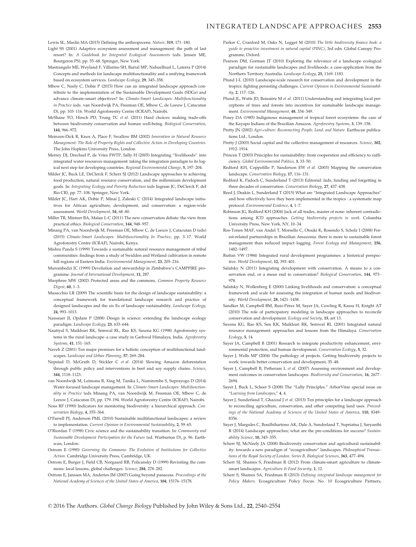#### INTEGRATED LANDSCAPE APPROACHES 2553

Lewis SL, Maslin MA (2015) Defining the anthropocene. Nature, 519, 171–180.

- Light SS (2001) Adaptive ecosystem assessment and management: the path of last resort? In: A Guidebook for Integrated Ecological Assessments (eds. Jensen ME, Bourgeron PS), pp. 55–68. Springer, New York.
- Mastrangelo ME, Weyland F, Villarino SH, Barral MP, Nahuelhual L, Laterra P (2014) Concepts and methods for landscape multifunctionality and a unifying framework based on ecosystem services. Landscape Ecology, 29, 345–358.
- Mbow C, Neely C, Dobie P (2015) How can an integrated landscape approach contribute to the implementation of the Sustainable Development Goals (SDGs) and advance climate-smart objectives? In: Climate-Smart Landscapes: Multifunctionality in Practice (eds. van Noordwijk PA, Freeman OE, Mbow C, de Leeuw J, Catacutan D), pp. 103–116. World Agroforestry Centre (ICRAF), Nairobi.
- McShane TO, Hirsch PD, Trung TC et al. (2011) Hard choices: making trade-offs between biodiversity conservation and human well-being. Biological Conservation, 144, 966–972.
- Meinzen-Dick R, Knox A, Place F, Swallow BM (2002) Innovation in Natural Resource Management: The Role of Property Rights and Collective Action in Developing Countries. The John Hopkins University Press, London.
- Merrey DJ, Drechsel P, de Vries FWTP, Sally H (2005) Integrating "livelihoods'' into integrated water resources management: taking the integration paradigm to its logical next step for developing countries. Regional Environmental Change, 5, 197–204.
- Milder JC, Buck LE, DeClerck F, Scherr SJ (2012) Landscape approaches to achieving food production, natural resource conservation, and the millennium development goals. In: Integrating Ecology and Poverty Reduction (eds Ingram JC, DeClerck F, del Rio CR), pp. 77–108. Springer, New York.
- Milder JC, Hart AK, Dobie P, Minai J, Zaleski C (2014) Integrated landscape initiatives for African agriculture, development, and conservation: a region-wide assessment. World Development, 54, 68–80.
- Miller TR, Minteer BA, Malan L-C (2011) The new conservation debate: the view from practical ethics. Biological Conservation, 144, 948–957.
- Minang PA, van Noordwijk M, Freeman OE, Mbow C, de Leeuw J, Catacutan D (eds) (2015) Climate-Smart Landscapes: Multifunctionality In Practice, pp. 3–17. World Agroforestry Centre (ICRAF), Nairobi, Kenya.
- Mishra Panda S (1999) Towards a sustainable natural resource management of tribal communities: findings from a study of Swidden and Wetland cultivation in remote hill regions of Eastern India. Environmental Management, 23, 205-216.
- Murombedzi JC (1999) Devolution and stewardship in Zimbabwe's CAMPFIRE programme. Journal of International Development, 11, 287.
- Murphree MW (2002) Protected areas and the commons. Common Property Resource Digest, 60, 1–3.
- Musacchio LR (2009) The scientific basis for the design of landscape sustainability: a conceptual framework for translational landscape research and practice of designed landscapes and the six Es of landscape sustainability. Landscape Ecology, 24, 993–1013.
- Nassauer JI, Opdam P (2008) Design in science: extending the landscape ecology paradigm. Landscape Ecology, 23, 633–644.
- Nautiyal S, Maikhuri RK, Semwal RL, Rao KS, Saxena KG (1998) Agroforestry systems in the rural landscape–a case study in Garhwal Himalaya, India. Agroforestry Systems, 41, 151–165.
- Naveh Z (2001) Ten major premises for a holistic conception of multifunctional landscapes. Landscape and Urban Planning, 57, 269–284.
- Nepstad D, McGrath D, Stickler C et al. (2014) Slowing Amazon deforestation through public policy and interventions in beef and soy supply chains. Science, 344, 1118–1123.
- van Noordwijk M, Leimona B, Xing M, Tanika L, Namirembe S, Suprayogo D (2014) Water-focused landscape management. In: Climate-Smart Landscapes: Multifunctionality in Practice (eds Minang PA, van Noordwijk M, Freeman OE, Mbow C, de Leeuw J, Catacutan D), pp. 179–194. World Agroforestry Centre (ICRAF), Nairobi.
- Noss RF (1990) Indicators for monitoring biodiversity: a hierarchical approach. Conservation Biology, 4, 355–364.
- O'Farrell PJ, Anderson PML (2010) Sustainable multifunctional landscapes: a review to implementation. Current Opinion in Environmental Sustainability, 2, 59–65.
- O'Riordan T (1998) Civic science and the sustainability transition. In: Community and Sustainable Development Participation for the Future (ed. Warburton D), p. 96. Earthscan, London.
- Ostrom E (1990) Governing the Commons: The Evolution of Institutions for Collective Action. Cambridge University Press, Cambridge, UK.
- Ostrom E, Burger J, Field CB, Norgaard RB, Policansky D (1999) Revisiting the commons: local lessons, global challenges. Science, 284, 278–282.
- Ostrom E, Janssen MA, Anderies JM (2007) Going beyond panaceas. Proceedings of the National Academy of Sciences of the United States of America, 104, 15176–15178.
- Parker C, Cranford M, Oaks N, Legget M (2010) The little biodiversity finance book: a guide to proactive investment in natural capital (PINC), 3rd edn. Global Canopy Programme, Oxford.
- Pearson DM, Gorman JT (2010) Exploring the relevance of a landscape ecological paradigm for sustainable landscapes and livelihoods: a case-application from the Northern Territory Australia. Landscape Ecology, 25, 1169–1183.
- Pfund J-L (2010) Landscape-scale research for conservation and development in the tropics: fighting persisting challenges. Current Opinion in Environmental Sustainability, 2, 117–126.
- Pfund JL, Watts JD, Boissiere M et al. (2011) Understanding and integrating local perceptions of trees and forests into incentives for sustainable landscape management. Environmental Management, 48, 334–349.
- Posey DA (1985) Indigenous management of tropical forest ecosystems: the case of the Kayapo Indians of the Brazilian Amazon. Agroforestry Systems, 3, 139–158.
- Pretty JN (2002) Agri-culture: Reconnecting People, Land, and Nature. Earthscan publications Ltd., London.
- Pretty J (2003) Social capital and the collective management of resources. Science, 302, 1912–1914.
- Princen T (2003) Principles for sustainability: from cooperation and efficiency to sufficiency. Global Environmental Politics, 3, 33–50.
- Redford KH, Coppolillo P, Sanderson EW et al. (2003) Mapping the conservation landscape. Conservation Biology, 17, 116–131.
- Redford K, Padoch C, Sunderland T (2013) Editorial: fads, funding and forgetting in three decades of conservation. Conservation Biology, 27, 437–438.
- Reed J, Deakin L, Sunderland T (2015) What are "Integrated Landscape Approaches" and how effectively have they been implemented in the tropics : a systematic map protocol. Environmental Evidence, 4, 1–7.
- Robinson JG, Redford KH (2004) Jack of all trades, master of none: inherent contradictions among ICD approaches. Getting biodiversity projects to work. Columbia University Press, New York, NY, 10–34.
- Ros-Tonen MAF, van Andel T, Morsello C, Otsuki K, Rosendo S, Scholz I (2008) Forest-related partnerships in Brazilian Amazonia: there is more to sustainable forest management than reduced impact logging. Forest Ecology and Management, 256, 1482–1497.
- Ruttan VW (1984) Integrated rural development programmes: a historical perspective. World Development, 12, 393-401.
- Salafsky N (2011) Integrating development with conservation. A means to a conservation end, or a mean end to conservation? Biological Conservation, 144, 973– 978.
- Salafsky N, Wollenberg E (2000) Linking livelihoods and conservation: a conceptual framework and scale for assessing the integration of human needs and biodiversity. World Development, 28, 1421–1438.
- Sandker M, Campbell BM, Ruiz-Pérez M, Sayer JA, Cowling R, Kassa H, Knight AT (2010) The role of participatory modeling in landscape approaches to reconcile conservation and development. Ecology and Society, 15, art 13.
- Saxena KG, Rao KS, Sen KK, Maikhuri RK, Semwal RL (2001) Integrated natural resource management: approaches and lessons from the Himalaya. Conservation Ecology, 5, 14.
- Sayer JA, Campbell B (2001) Research to integrate productivity enhancement, environmental protection, and human development. Conservation Ecology, 5, 32.
- Sayer J, Wells MP (2004) The pathology of projects. Getting biodiversity projects to work: towards better conservation and development, 35–48.
- Sayer J, Campbell B, Petheram L et al. (2007) Assessing environment and development outcomes in conservation landscapes. Biodiversity and Conservation, 16, 2677– 2694.
- Sayer J, Buck L, Scheer S (2008) The "Lally Principles." ArborVitae special issue on "Learning from Landscapes," 4, 4.
- Sayer J, Sunderland T, Ghazoul J et al. (2013) Ten principles for a landscape approach to reconciling agriculture, conservation, and other competing land uses. Proceedings of the National Academy of Sciences of the United States of America, 110, 8349– 8356.
- Sayer J, Margules C, Boedhihartono AK, Dale A, Sunderland T, Supriatna J, Saryanthi R (2014) Landscape approaches; what are the pre-conditions for success? Sustainability Science, 10, 345–355.
- Scherr SJ, McNeely JA (2008) Biodiversity conservation and agricultural sustainability: towards a new paradigm of "ecoagriculture" landscapes. Philosophical Transactions of the Royal Society of London. Series B, Biological Sciences, 363, 477–494.
- Scherr SJ, Shames S, Friedman R (2012) From climate-smart agriculture to climatesmart landscapes. Agriculture & Food Security, 1, 12.
- Scherr S, Shames SA, Friedman R (2013) Defining integrated landscape management for Policy Makers. Ecoagriculture Policy Focus. No. 10 Ecoagriculture Partners,